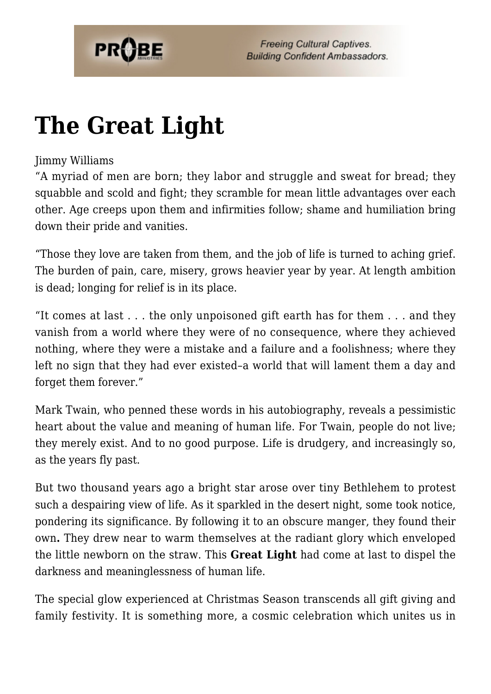

## **[The Great Light](https://probe.org/the-great-light/)**

## Jimmy Williams

"A myriad of men are born; they labor and struggle and sweat for bread; they squabble and scold and fight; they scramble for mean little advantages over each other. Age creeps upon them and infirmities follow; shame and humiliation bring down their pride and vanities.

"Those they love are taken from them, and the job of life is turned to aching grief. The burden of pain, care, misery, grows heavier year by year. At length ambition is dead; longing for relief is in its place.

"It comes at last . . . the only unpoisoned gift earth has for them . . . and they vanish from a world where they were of no consequence, where they achieved nothing, where they were a mistake and a failure and a foolishness; where they left no sign that they had ever existed–a world that will lament them a day and forget them forever."

Mark Twain, who penned these words in his autobiography, reveals a pessimistic heart about the value and meaning of human life. For Twain, people do not live; they merely exist. And to no good purpose. Life is drudgery, and increasingly so, as the years fly past.

But two thousand years ago a bright star arose over tiny Bethlehem to protest such a despairing view of life. As it sparkled in the desert night, some took notice, pondering its significance. By following it to an obscure manger, they found their own**.** They drew near to warm themselves at the radiant glory which enveloped the little newborn on the straw. This **Great Light** had come at last to dispel the darkness and meaninglessness of human life.

The special glow experienced at Christmas Season transcends all gift giving and family festivity. It is something more, a cosmic celebration which unites us in